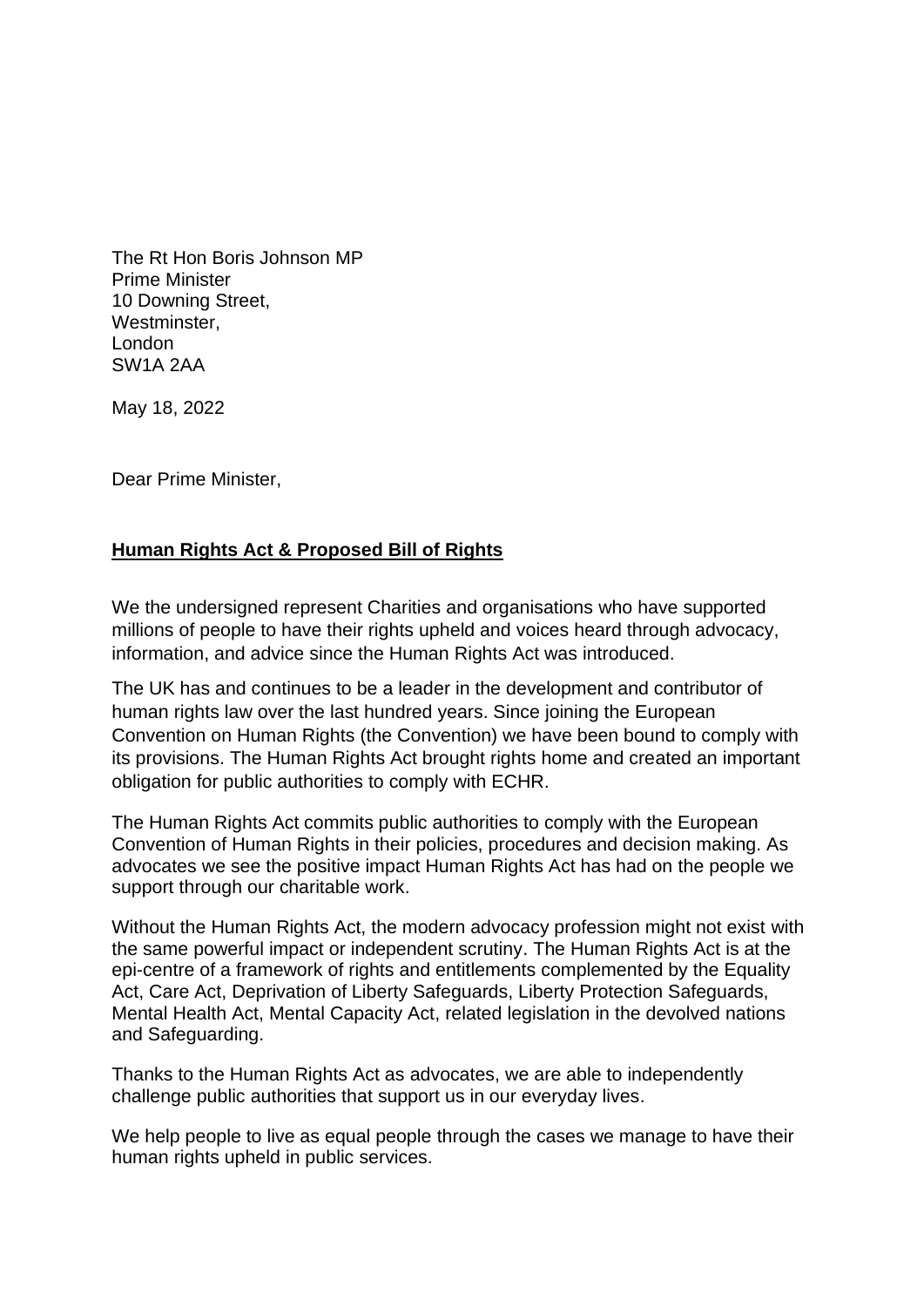The Rt Hon Boris Johnson MP Prime Minister 10 Downing Street, Westminster, London SW1A 2AA

May 18, 2022

Dear Prime Minister,

## **Human Rights Act & Proposed Bill of Rights**

We the undersigned represent Charities and organisations who have supported millions of people to have their rights upheld and voices heard through advocacy, information, and advice since the Human Rights Act was introduced.

The UK has and continues to be a leader in the development and contributor of human rights law over the last hundred years. Since joining the European Convention on Human Rights (the Convention) we have been bound to comply with its provisions. The Human Rights Act brought rights home and created an important obligation for public authorities to comply with ECHR.

The Human Rights Act commits public authorities to comply with the European Convention of Human Rights in their policies, procedures and decision making. As advocates we see the positive impact Human Rights Act has had on the people we support through our charitable work.

Without the Human Rights Act, the modern advocacy profession might not exist with the same powerful impact or independent scrutiny. The Human Rights Act is at the epi-centre of a framework of rights and entitlements complemented by the Equality Act, Care Act, Deprivation of Liberty Safeguards, Liberty Protection Safeguards, Mental Health Act, Mental Capacity Act, related legislation in the devolved nations and Safeguarding.

Thanks to the Human Rights Act as advocates, we are able to independently challenge public authorities [that support us in our everyday lives.](https://www.pohwer.net/human-rights-in-everyday-life)

We help people to live as equal people through the cases we manage to have their human rights upheld in public services.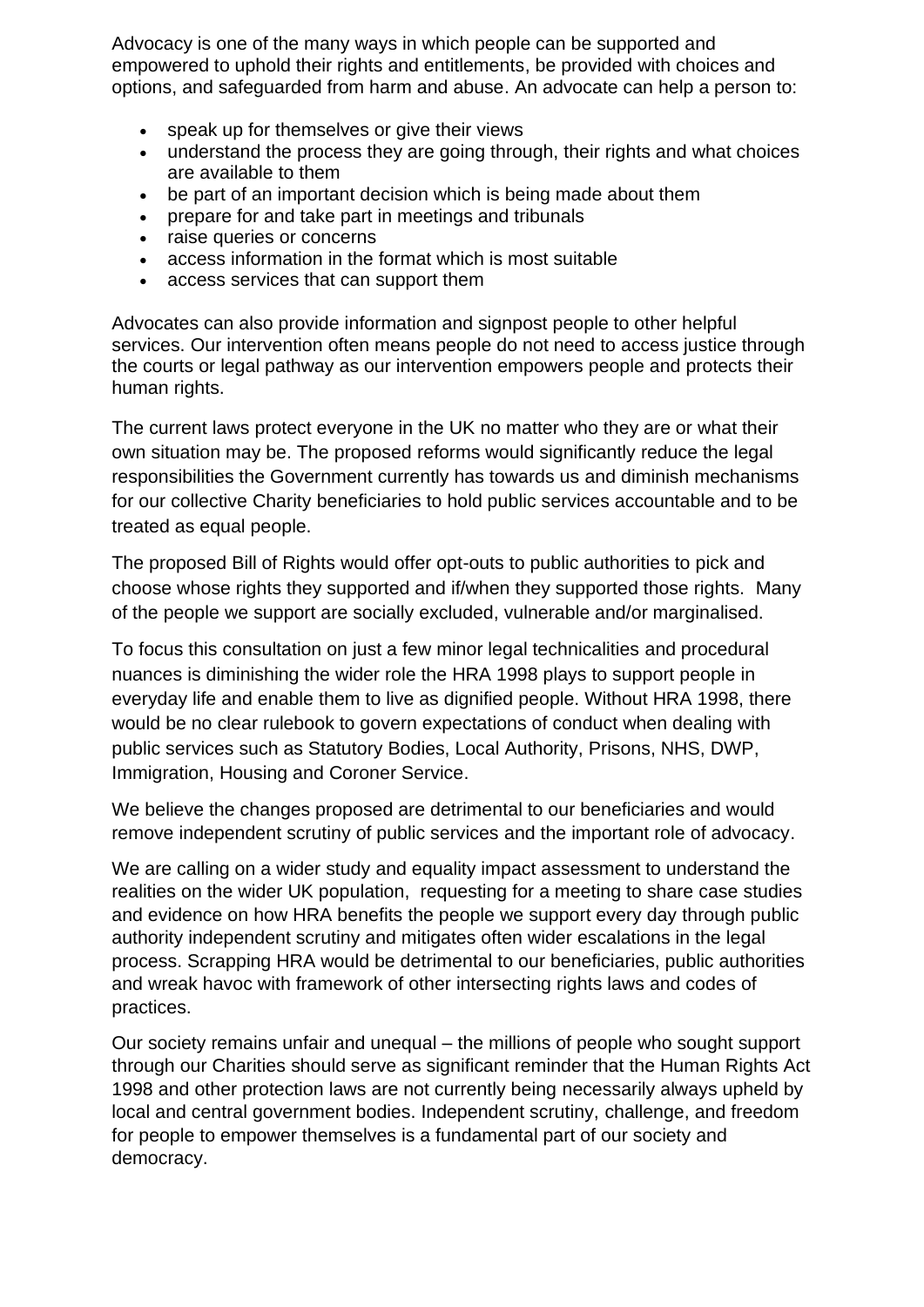Advocacy is one of the many ways in which people can be supported and empowered to uphold their rights and entitlements, be provided with choices and options, and safeguarded from harm and abuse. An advocate can help a person to:

- speak up for themselves or give their views
- understand the process they are going through, their rights and what choices are available to them
- be part of an important decision which is being made about them
- prepare for and take part in meetings and tribunals
- raise queries or concerns
- access information in the format which is most suitable
- access services that can support them

Advocates can also provide information and signpost people to other helpful services. Our intervention often means people do not need to access justice through the courts or legal pathway as our intervention empowers people and protects their human rights.

The current laws protect everyone in the UK no matter who they are or what their own situation may be. The proposed reforms would significantly reduce the legal responsibilities the Government currently has towards us and diminish mechanisms for our collective Charity beneficiaries to hold public services accountable and to be treated as equal people.

The proposed Bill of Rights would offer opt-outs to public authorities to pick and choose whose rights they supported and if/when they supported those rights. Many of the people we support are socially excluded, vulnerable and/or marginalised.

To focus this consultation on just a few minor legal technicalities and procedural nuances is diminishing the wider role the HRA 1998 plays to support people in everyday life and enable them to live as dignified people. Without HRA 1998, there would be no clear rulebook to govern expectations of conduct when dealing with public services such as Statutory Bodies, Local Authority, Prisons, NHS, DWP, Immigration, Housing and Coroner Service.

We believe the changes proposed are detrimental to our beneficiaries and would remove independent scrutiny of public services and the important role of advocacy.

We are calling on a wider study and equality impact assessment to understand the realities on the wider UK population, requesting for a meeting to share case studies and evidence on how HRA benefits the people we support every day through public authority independent scrutiny and mitigates often wider escalations in the legal process. Scrapping HRA would be detrimental to our beneficiaries, public authorities and wreak havoc with framework of other intersecting rights laws and codes of practices.

Our society remains unfair and unequal – the millions of people who sought support through our Charities should serve as significant reminder that the Human Rights Act 1998 and other protection laws are not currently being necessarily always upheld by local and central government bodies. Independent scrutiny, challenge, and freedom for people to empower themselves is a fundamental part of our society and democracy.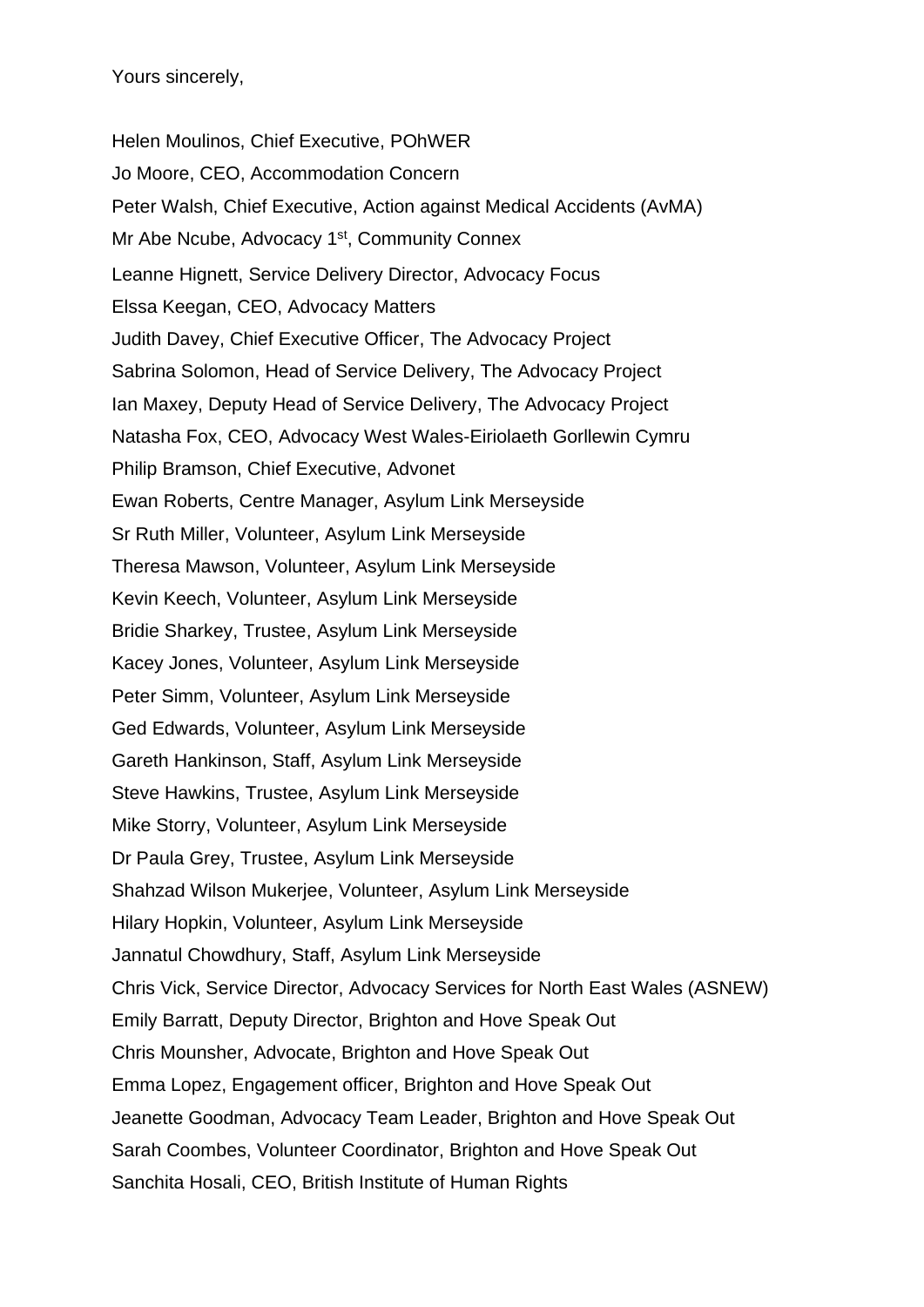Yours sincerely,

Helen Moulinos, Chief Executive, POhWER Jo Moore, CEO, Accommodation Concern Peter Walsh, Chief Executive, Action against Medical Accidents (AvMA) Mr Abe Ncube, Advocacy 1<sup>st</sup>, Community Connex Leanne Hignett, Service Delivery Director, Advocacy Focus Elssa Keegan, CEO, Advocacy Matters Judith Davey, Chief Executive Officer, The Advocacy Project Sabrina Solomon, Head of Service Delivery, The Advocacy Project Ian Maxey, Deputy Head of Service Delivery, The Advocacy Project Natasha Fox, CEO, Advocacy West Wales-Eiriolaeth Gorllewin Cymru Philip Bramson, Chief Executive, Advonet Ewan Roberts, Centre Manager, Asylum Link Merseyside Sr Ruth Miller, Volunteer, Asylum Link Merseyside Theresa Mawson, Volunteer, Asylum Link Merseyside Kevin Keech, Volunteer, Asylum Link Merseyside Bridie Sharkey, Trustee, Asylum Link Merseyside Kacey Jones, Volunteer, Asylum Link Merseyside Peter Simm, Volunteer, Asylum Link Merseyside Ged Edwards, Volunteer, Asylum Link Merseyside Gareth Hankinson, Staff, Asylum Link Merseyside Steve Hawkins, Trustee, Asylum Link Merseyside Mike Storry, Volunteer, Asylum Link Merseyside Dr Paula Grey, Trustee, Asylum Link Merseyside Shahzad Wilson Mukerjee, Volunteer, Asylum Link Merseyside Hilary Hopkin, Volunteer, Asylum Link Merseyside Jannatul Chowdhury, Staff, Asylum Link Merseyside Chris Vick, Service Director, Advocacy Services for North East Wales (ASNEW) Emily Barratt, Deputy Director, Brighton and Hove Speak Out Chris Mounsher, Advocate, Brighton and Hove Speak Out Emma Lopez, Engagement officer, Brighton and Hove Speak Out Jeanette Goodman, Advocacy Team Leader, Brighton and Hove Speak Out Sarah Coombes, Volunteer Coordinator, Brighton and Hove Speak Out Sanchita Hosali, CEO, British Institute of Human Rights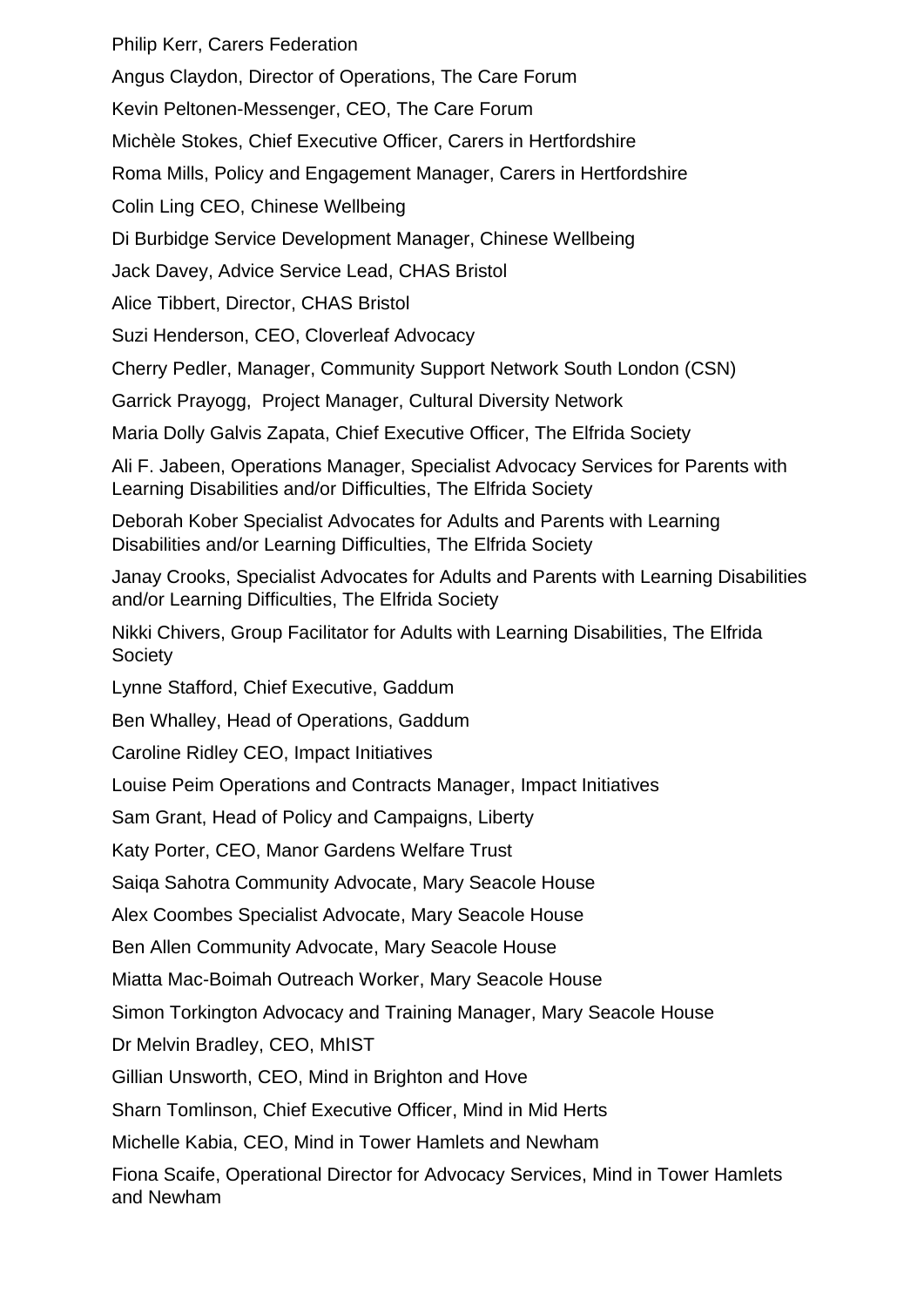Philip Kerr, Carers Federation

Angus Claydon, Director of Operations, The Care Forum

Kevin Peltonen-Messenger, CEO, The Care Forum

Michèle Stokes, Chief Executive Officer, Carers in Hertfordshire

Roma Mills, Policy and Engagement Manager, Carers in Hertfordshire

Colin Ling CEO, Chinese Wellbeing

Di Burbidge Service Development Manager, Chinese Wellbeing

Jack Davey, Advice Service Lead, CHAS Bristol

Alice Tibbert, Director, CHAS Bristol

Suzi Henderson, CEO, Cloverleaf Advocacy

Cherry Pedler, Manager, Community Support Network South London (CSN)

Garrick Prayogg, Project Manager, Cultural Diversity Network

Maria Dolly Galvis Zapata, Chief Executive Officer, The Elfrida Society

Ali F. Jabeen, Operations Manager, Specialist Advocacy Services for Parents with Learning Disabilities and/or Difficulties, The Elfrida Society

Deborah Kober Specialist Advocates for Adults and Parents with Learning Disabilities and/or Learning Difficulties, The Elfrida Society

Janay Crooks, Specialist Advocates for Adults and Parents with Learning Disabilities and/or Learning Difficulties, The Elfrida Society

Nikki Chivers, Group Facilitator for Adults with Learning Disabilities, The Elfrida **Society** 

Lynne Stafford, Chief Executive, Gaddum

Ben Whalley, Head of Operations, Gaddum

Caroline Ridley CEO, Impact Initiatives

Louise Peim Operations and Contracts Manager, Impact Initiatives

Sam Grant, Head of Policy and Campaigns, Liberty

Katy Porter, CEO, Manor Gardens Welfare Trust

Saiqa Sahotra Community Advocate, Mary Seacole House

Alex Coombes Specialist Advocate, Mary Seacole House

Ben Allen Community Advocate, Mary Seacole House

Miatta Mac-Boimah Outreach Worker, Mary Seacole House

Simon Torkington Advocacy and Training Manager, Mary Seacole House

Dr Melvin Bradley, CEO, MhIST

Gillian Unsworth, CEO, Mind in Brighton and Hove

Sharn Tomlinson, Chief Executive Officer, Mind in Mid Herts

Michelle Kabia, CEO, Mind in Tower Hamlets and Newham

Fiona Scaife, Operational Director for Advocacy Services, Mind in Tower Hamlets and Newham